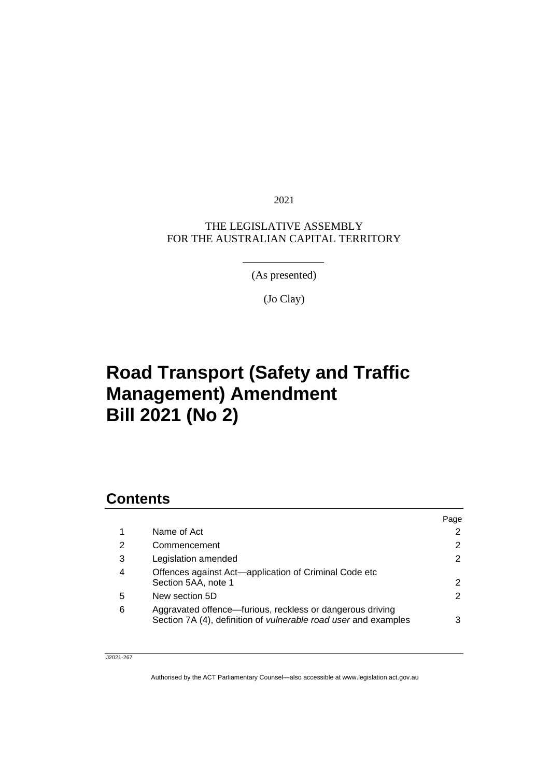2021

#### THE LEGISLATIVE ASSEMBLY FOR THE AUSTRALIAN CAPITAL TERRITORY

(As presented)

(Jo Clay)

# **Road Transport (Safety and Traffic Management) Amendment Bill 2021 (No 2)**

### **Contents**

|                                                                                                                                     | Page |
|-------------------------------------------------------------------------------------------------------------------------------------|------|
| Name of Act                                                                                                                         | 2    |
| Commencement                                                                                                                        | 2    |
| Legislation amended                                                                                                                 | 2    |
| Offences against Act-application of Criminal Code etc<br>Section 5AA, note 1                                                        | 2    |
| New section 5D                                                                                                                      | 2    |
| Aggravated offence—furious, reckless or dangerous driving<br>Section 7A (4), definition of <i>vulnerable road user</i> and examples | 3    |
|                                                                                                                                     |      |

#### J2021-267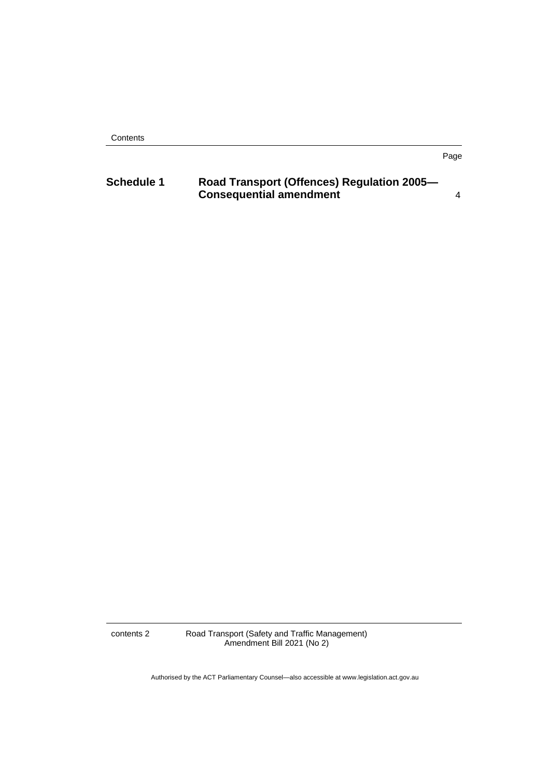**Contents** 

#### Page

| <b>Schedule 1</b> | Road Transport (Offences) Regulation 2005- |  |
|-------------------|--------------------------------------------|--|
|                   | <b>Consequential amendment</b>             |  |

contents 2 Road Transport (Safety and Traffic Management) Amendment Bill 2021 (No 2)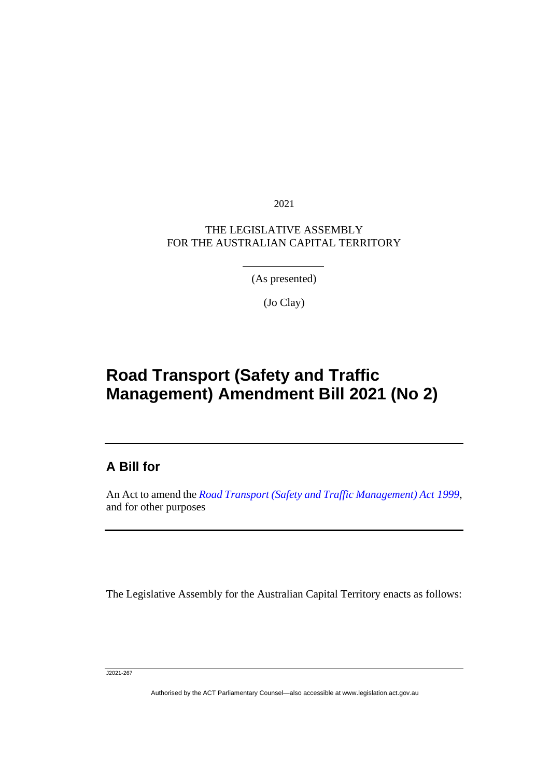2021

#### THE LEGISLATIVE ASSEMBLY FOR THE AUSTRALIAN CAPITAL TERRITORY

(As presented)

(Jo Clay)

## **Road Transport (Safety and Traffic Management) Amendment Bill 2021 (No 2)**

### **A Bill for**

֖֖֖֚֚֚֡֬֝֬

An Act to amend the *[Road Transport \(Safety and Traffic Management\) Act](http://www.legislation.act.gov.au/a/1999-80) 1999*, and for other purposes

The Legislative Assembly for the Australian Capital Territory enacts as follows:

J2021-267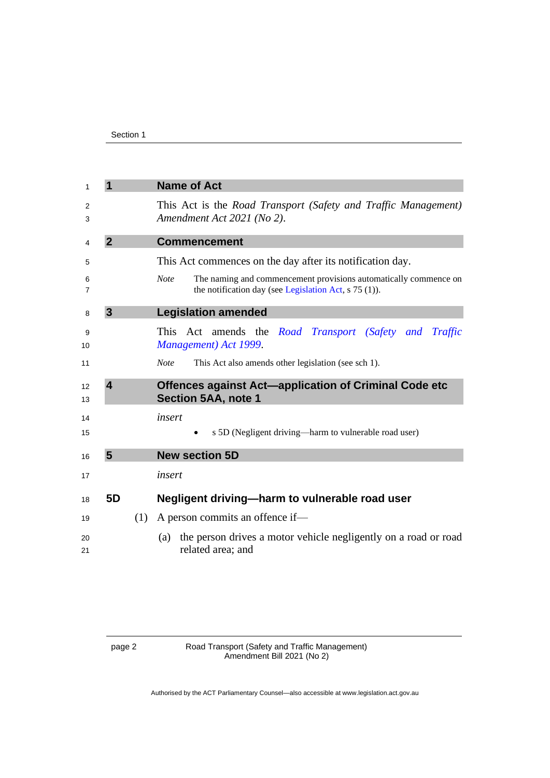<span id="page-3-4"></span><span id="page-3-3"></span><span id="page-3-2"></span><span id="page-3-1"></span><span id="page-3-0"></span>

| 1        | 1                                                                               |     | <b>Name of Act</b>                                                                                                                         |  |  |
|----------|---------------------------------------------------------------------------------|-----|--------------------------------------------------------------------------------------------------------------------------------------------|--|--|
| 2<br>3   |                                                                                 |     | This Act is the <i>Road Transport (Safety and Traffic Management)</i><br>Amendment Act 2021 (No 2).                                        |  |  |
| 4        | $\overline{2}$                                                                  |     | <b>Commencement</b>                                                                                                                        |  |  |
| 5        |                                                                                 |     | This Act commences on the day after its notification day.                                                                                  |  |  |
| 6<br>7   |                                                                                 |     | <b>Note</b><br>The naming and commencement provisions automatically commence on<br>the notification day (see Legislation Act, $s$ 75 (1)). |  |  |
| 8        | 3                                                                               |     | <b>Legislation amended</b>                                                                                                                 |  |  |
| 9<br>10  | This Act amends the Road Transport (Safety and Traffic<br>Management) Act 1999. |     |                                                                                                                                            |  |  |
| 11       |                                                                                 |     | <b>Note</b><br>This Act also amends other legislation (see sch 1).                                                                         |  |  |
| 12<br>13 | $\overline{\mathbf{4}}$                                                         |     | <b>Offences against Act-application of Criminal Code etc</b><br><b>Section 5AA, note 1</b>                                                 |  |  |
| 14       | insert                                                                          |     |                                                                                                                                            |  |  |
| 15       |                                                                                 |     | s 5D (Negligent driving—harm to vulnerable road user)                                                                                      |  |  |
| 16       | 5                                                                               |     | <b>New section 5D</b>                                                                                                                      |  |  |
| 17       |                                                                                 |     | insert                                                                                                                                     |  |  |
| 18       | 5D                                                                              |     | Negligent driving-harm to vulnerable road user                                                                                             |  |  |
| 19       |                                                                                 | (1) | A person commits an offence if—                                                                                                            |  |  |
| 20<br>21 |                                                                                 |     | the person drives a motor vehicle negligently on a road or road<br>(a)<br>related area; and                                                |  |  |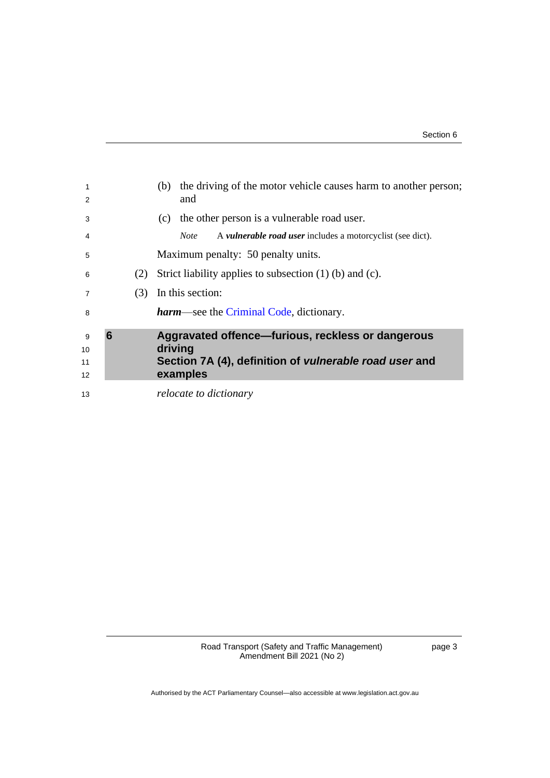<span id="page-4-0"></span>

| 1<br>2              |   |     | the driving of the motor vehicle causes harm to another person;<br>(b)<br>and                                                             |  |  |
|---------------------|---|-----|-------------------------------------------------------------------------------------------------------------------------------------------|--|--|
| 3                   |   |     | the other person is a vulnerable road user.<br>(c)                                                                                        |  |  |
| 4                   |   |     | A <i>vulnerable road user</i> includes a motorcyclist (see dict).<br><i>Note</i>                                                          |  |  |
| 5                   |   |     | Maximum penalty: 50 penalty units.                                                                                                        |  |  |
| 6                   |   | (2) | Strict liability applies to subsection $(1)$ (b) and $(c)$ .                                                                              |  |  |
| 7                   |   | (3) | In this section:                                                                                                                          |  |  |
| 8                   |   |     | <b>harm</b> —see the Criminal Code, dictionary.                                                                                           |  |  |
| 9<br>10<br>11<br>12 | 6 |     | Aggravated offence-furious, reckless or dangerous<br>driving<br>Section 7A (4), definition of <i>vulnerable road user</i> and<br>examples |  |  |
| 13                  |   |     | relocate to dictionary                                                                                                                    |  |  |

Road Transport (Safety and Traffic Management) Amendment Bill 2021 (No 2)

page 3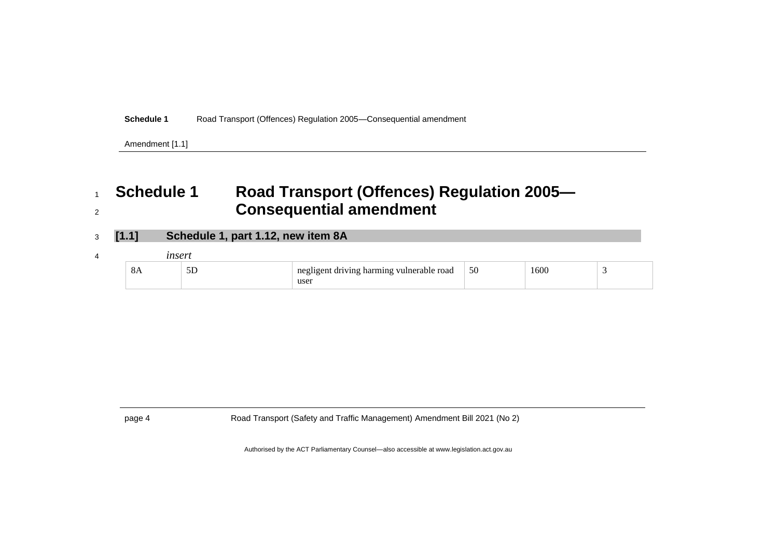**Schedule 1** Road Transport (Offences) Regulation 2005—Consequential amendment

Amendment [1.1]

## <sup>1</sup> **Schedule 1 Road Transport (Offences) Regulation 2005—** <sup>2</sup> **Consequential amendment**

- <sup>3</sup> **[1.1] Schedule 1, part 1.12, new item 8A**
- <sup>4</sup> *insert*

| 0A | - 1<br>ىر | $\mathbf{v}$<br>$\mathbf{A}$<br>roag<br>anı | 50 | ึ กเม<br>. |  |
|----|-----------|---------------------------------------------|----|------------|--|
|    |           | user                                        |    |            |  |

<span id="page-5-0"></span>page 4 Road Transport (Safety and Traffic Management) Amendment Bill 2021 (No 2)